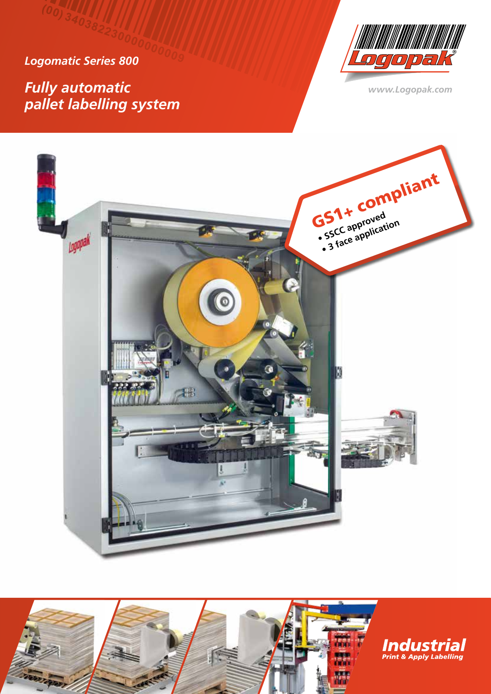*Logomatic Series 800*

*Fully automatic pallet labelling system*



*www.Logopak.com*





**Industrial**